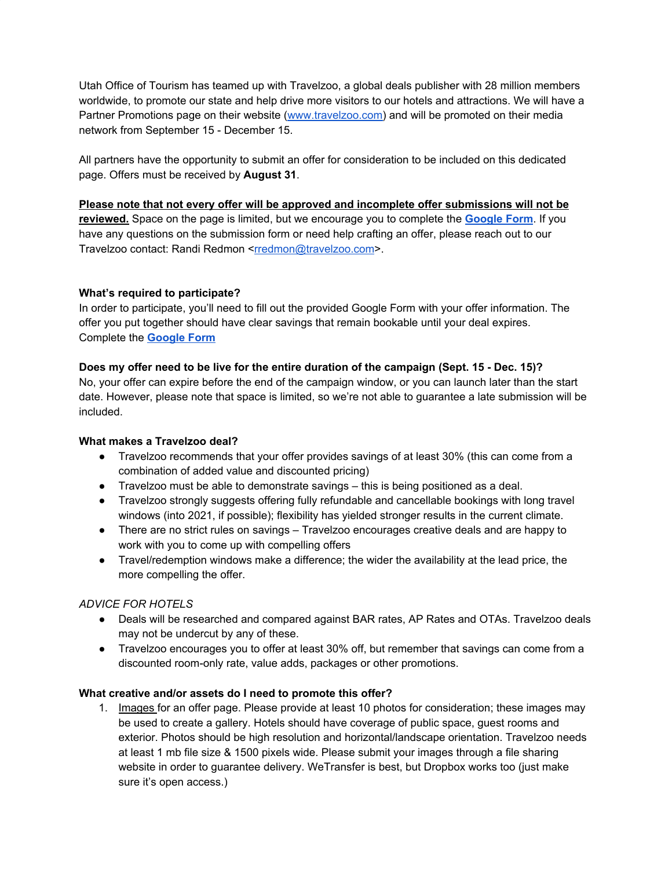Utah Office of Tourism has teamed up with Travelzoo, a global deals publisher with 28 million members worldwide, to promote our state and help drive more visitors to our hotels and attractions. We will have a Partner Promotions page on their website [\(www.travelzoo.com\)](http://www.travelzoo.com/) and will be promoted on their media network from September 15 - December 15.

All partners have the opportunity to submit an offer for consideration to be included on this dedicated page. Offers must be received by **August 31**.

#### **Please note that not every offer will be approved and incomplete offer submissions will not be**

**reviewed.** Space on the page is limited, but we encourage you to complete the **[Google](https://forms.gle/jY5om5s47szxHXah8) Form**. If you have any questions on the submission form or need help crafting an offer, please reach out to our Travelzoo contact: Randi Redmon <[rredmon@travelzoo.com](mailto:rredmon@travelzoo.com)>.

### **What's required to participate?**

In order to participate, you'll need to fill out the provided Google Form with your offer information. The offer you put together should have clear savings that remain bookable until your deal expires. Complete the **[Google](https://forms.gle/jY5om5s47szxHXah8) Form**

### **Does my offer need to be live for the entire duration of the campaign (Sept. 15 - Dec. 15)?**

No, your offer can expire before the end of the campaign window, or you can launch later than the start date. However, please note that space is limited, so we're not able to guarantee a late submission will be included.

### **What makes a Travelzoo deal?**

- Travelzoo recommends that your offer provides savings of at least 30% (this can come from a combination of added value and discounted pricing)
- Travelzoo must be able to demonstrate savings this is being positioned as a deal.
- Travelzoo strongly suggests offering fully refundable and cancellable bookings with long travel windows (into 2021, if possible); flexibility has yielded stronger results in the current climate.
- There are no strict rules on savings Travelzoo encourages creative deals and are happy to work with you to come up with compelling offers
- Travel/redemption windows make a difference; the wider the availability at the lead price, the more compelling the offer.

# *ADVICE FOR HOTELS*

- Deals will be researched and compared against BAR rates, AP Rates and OTAs. Travelzoo deals may not be undercut by any of these.
- Travelzoo encourages you to offer at least 30% off, but remember that savings can come from a discounted room-only rate, value adds, packages or other promotions.

### **What creative and/or assets do I need to promote this offer?**

1. Images for an offer page. Please provide at least 10 photos for consideration; these images may be used to create a gallery. Hotels should have coverage of public space, guest rooms and exterior. Photos should be high resolution and horizontal/landscape orientation. Travelzoo needs at least 1 mb file size & 1500 pixels wide. Please submit your images through a file sharing website in order to guarantee delivery. WeTransfer is best, but Dropbox works too (just make sure it's open access.)